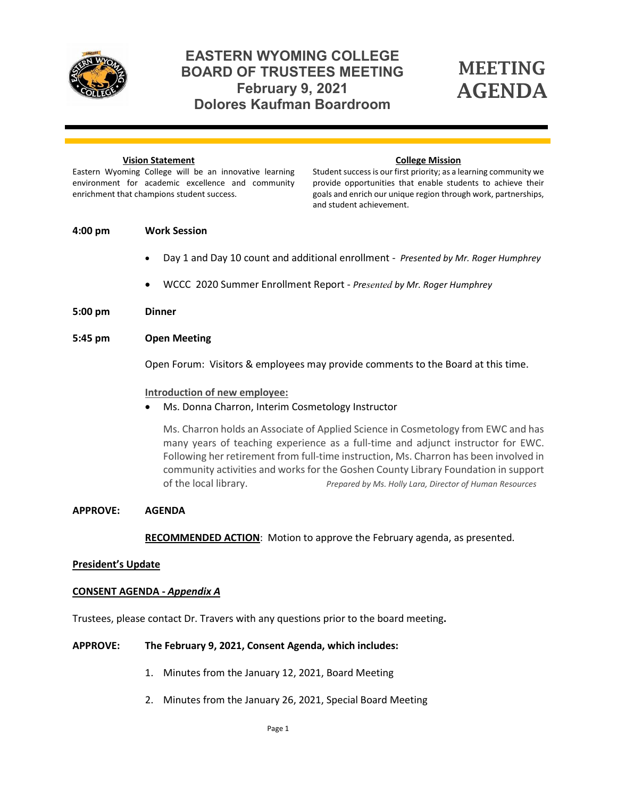

# **EASTERN WYOMING COLLEGE BOARD OF TRUSTEES MEETING February 9, 2021 Dolores Kaufman Boardroom**

# MEETING AGENDA

#### **Vision Statement**

#### **College Mission**

Eastern Wyoming College will be an innovative learning environment for academic excellence and community enrichment that champions student success.

Student success is our first priority; as a learning community we provide opportunities that enable students to achieve their goals and enrich our unique region through work, partnerships, and student achievement.

#### **4:00 pm Work Session**

- Day 1 and Day 10 count and additional enrollment *Presented by Mr. Roger Humphrey*
- WCCC 2020 Summer Enrollment Report *Presented by Mr. Roger Humphrey*
- **5:00 pm Dinner**

#### **5:45 pm Open Meeting**

Open Forum: Visitors & employees may provide comments to the Board at this time.

#### **Introduction of new employee:**

• Ms. Donna Charron, Interim Cosmetology Instructor

Ms. Charron holds an Associate of Applied Science in Cosmetology from EWC and has many years of teaching experience as a full-time and adjunct instructor for EWC. Following her retirement from full-time instruction, Ms. Charron has been involved in community activities and works for the Goshen County Library Foundation in support of the local library. *Prepared by Ms. Holly Lara, Director of Human Resources*

#### **APPROVE: AGENDA**

**RECOMMENDED ACTION**: Motion to approve the February agenda, as presented.

#### **President's Update**

#### **CONSENT AGENDA -** *Appendix A*

Trustees, please contact Dr. Travers with any questions prior to the board meeting**.**

### **APPROVE: The February 9, 2021, Consent Agenda, which includes:**

- 1. Minutes from the January 12, 2021, Board Meeting
- 2. Minutes from the January 26, 2021, Special Board Meeting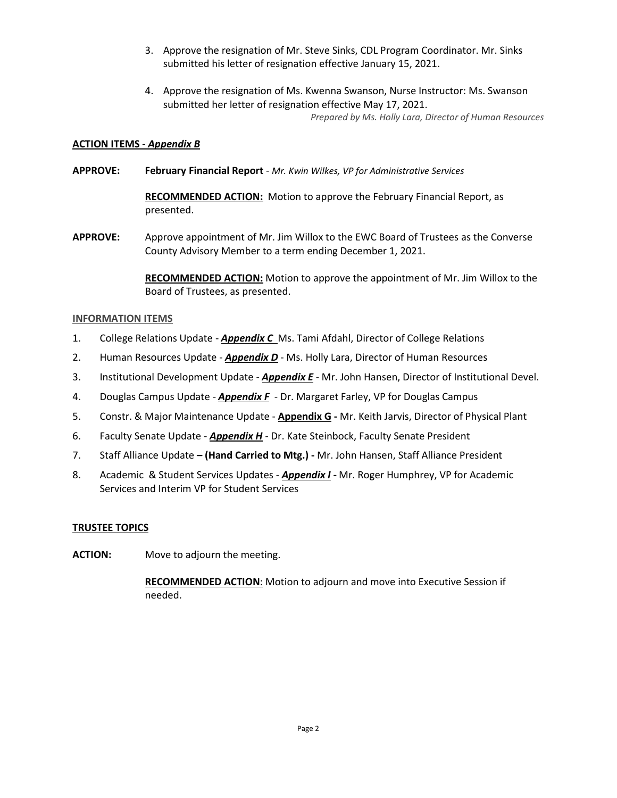- 3. Approve the resignation of Mr. Steve Sinks, CDL Program Coordinator. Mr. Sinks submitted his letter of resignation effective January 15, 2021.
- 4. Approve the resignation of Ms. Kwenna Swanson, Nurse Instructor: Ms. Swanson submitted her letter of resignation effective May 17, 2021.

*Prepared by Ms. Holly Lara, Director of Human Resources*

### **ACTION ITEMS -** *Appendix B*

**APPROVE: February Financial Report** *- Mr. Kwin Wilkes, VP for Administrative Services*

**RECOMMENDED ACTION:** Motion to approve the February Financial Report, as presented.

**APPROVE:** Approve appointment of Mr. Jim Willox to the EWC Board of Trustees as the Converse County Advisory Member to a term ending December 1, 2021.

> **RECOMMENDED ACTION:** Motion to approve the appointment of Mr. Jim Willox to the Board of Trustees, as presented.

### **INFORMATION ITEMS**

- 1. College Relations Update *Appendix C* Ms. Tami Afdahl, Director of College Relations
- 2. Human Resources Update *Appendix D* Ms. Holly Lara, Director of Human Resources
- 3. Institutional Development Update *Appendix E* Mr. John Hansen, Director of Institutional Devel.
- 4. Douglas Campus Update *Appendix F* Dr. Margaret Farley, VP for Douglas Campus
- 5. Constr. & Major Maintenance Update **Appendix G -** Mr. Keith Jarvis, Director of Physical Plant
- 6. Faculty Senate Update *Appendix H -* Dr. Kate Steinbock, Faculty Senate President
- 7. Staff Alliance Update **– (Hand Carried to Mtg.) -** Mr. John Hansen, Staff Alliance President
- 8. Academic & Student Services Updates *Appendix I -* Mr. Roger Humphrey, VP for Academic Services and Interim VP for Student Services

### **TRUSTEE TOPICS**

**ACTION:** Move to adjourn the meeting.

**RECOMMENDED ACTION**: Motion to adjourn and move into Executive Session if needed.